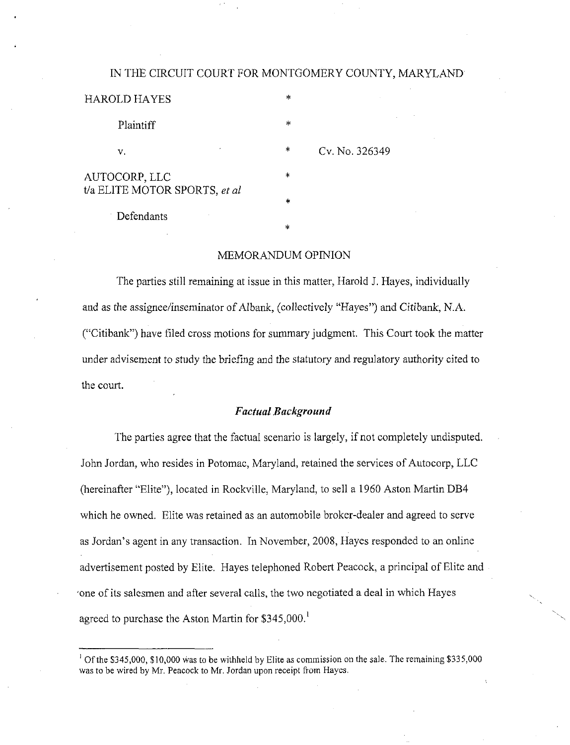#### IN THE CIRCUIT COURT FOR MONTGOMERY COUNTY, MARYLAND

| HAROLD HAYES                                   | *      |
|------------------------------------------------|--------|
| Plaintiff                                      | $\ast$ |
| v.                                             | $\ast$ |
| AUTOCORP, LLC<br>t/a ELITE MOTOR SPORTS, et al | *      |
| Defendants                                     | $\ast$ |
|                                                | *      |

## Cv. No. 326349

MEMORANDUM OPINION

The parties still remaining at issue in this matter, Harold J. Hayes, individually and as the assignee/inseminator of Albank, (collectively "Hayes") and Citibank, N.A. ("Citibank") have filed cross motions for summary judgment. This Court took the matter under advisement to study the briefing and the statutory and regulatory authority cited to the court.

## Factual Background

The parties agree that the factual scenario is largely, if not completely undisputed. John Jordan, who resides in Potomac, Maryland, retained the services of Autocorp, LLC (hereinafter "Elite"), located in Rockville, Maryland, to sell a 1960 Aston Martin DB4 which he owned. Elite was retained as an automobile broker-dealer and agreed to serve as Jordan's agent in any transaction. In November, 2008, Hayes responded to an online advertisement posted by Elite. Hayes telephoned Robert Peacock, a principal of Elite and -one of its salesmen and after several calls, the two negotiated a deal in which Hayes agreed to purchase the Aston Martin for \$345,000.

<sup>&</sup>lt;sup>1</sup> Of the \$345,000, \$10,000 was to be withheld by Elite as commission on the sale. The remaining \$335,000 was to be wired by Mr. Peacock to Mr, Jordan upon receipt from Hayes,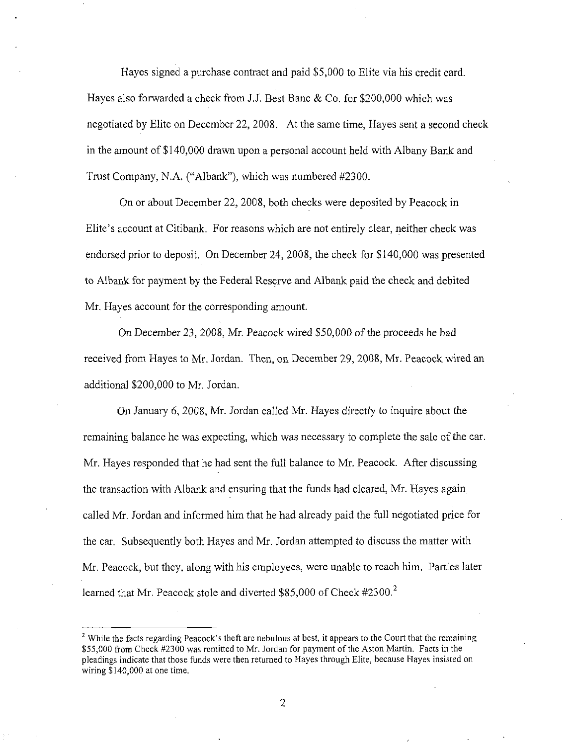Hayes signed a purchase contract and paid \$5,000 to Elite via his credit card. Hayes also forwarded a check from J.J. Best Banc & Co. for \$200,000 which was negotiated by Elite on December 22, 2008. At the same time, Hayes sent a second check in the amount of \$140,000 drawn upon a personal account held with Albany Bank and Trust Company, N.A. ("Albank"), which was numbered #2300.

On or about December 22, 2008, both checks were deposited by Peacock in Elite's account at Citibank. For reasons which are not entirely clear, neither check was endorsed prior to deposit. On December 24, 2008, the check for \$140,000 was presented to Albank for payment by the Federal Reserve and Albank paid the check and debited Mr. Hayes account for the corresponding amount.

On December 23, 2008, Mr. Peacock wired \$50,000 of the proceeds he had received from Hayes to Mr. Jordan. Then, on December 29, 2008, Mr. Peacock wired an additional \$200,000 to Mr. Jordan.

On January 6, 2008, Mr. Jordan called Mr. Hayes directly to inquire about the remaining balance he was expecting, which was necessary to complete the sale of the car. Mr. Hayes responded that he had sent the full balance to Mr. Peacock. After discussing the transaction with Albank and ensuring that the funds had cleared, Mr. Hayes again called Mr. Jordan and informed him that he had already paid the full negotiated price for the car. Subsequently both Hayes and Mr. Jordan attempted to discuss the matter with Mr. Peacock, but they, along with his employees, were unable to reach him. Parties later learned that Mr. Peacock stole and diverted  $$85,000$  of Check #2300.<sup>2</sup>

 $\overline{2}$ 

 $<sup>2</sup>$  While the facts regarding Peacock's theft are nebulous at best, it appears to the Court that the remaining</sup> \$55,000 from Check #2300 was remitted to Mr. Jordan for payment of the Aston Martin. Facts in the pleadings indicate that those funds were then retumed to Hayes through Elite, because Hayes insisted on wiring \$140,000 at one time.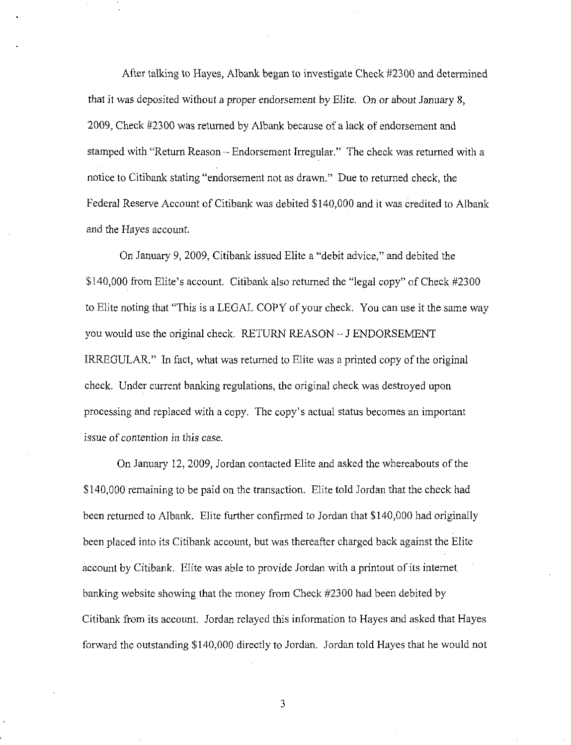After talking to Hayes, Albank began to investigate Check #2300 and determined that it was deposited without a proper endorsement by Elite. On or about January 8, 2009, Check #2300 was retumed by Albank because of a lack of endorsement and stamped with "Return Reason - Endorsement Irregular." The check was retumed with a notice to Citibank stating "endorsement not as drawn." Due to returned check, the Federal Reserve Account of Citibank was debited \$140,000 and it was credited to Albank and the Hayes account.

On January 9, 2009, Citibank issued Elite a "debit advice," and debited the \$140,000 from Elite's account. Citibank also retumed the "legal copy" of Check #2300 to Elite noting that "This is a LEGAL COPY of your cheek. You can use it the same way you would use the original check. RETURN REASON - J ENDORSEMENT IRREGULAR." In fact, what was returned to Elite was a printed copy of the original check. Under current banking regulations, the original check was destroyed upon processing and replaced with a copy. The copy's actual status becomes an important issue of contention in this case.

On January 12, 2009, Jordan contacted Elite and asked the whereabouts of the \$ 140,000 remaining to be paid on the transaction. Elite told Jordan that the check had been retumed to Albank. Elite further confirmed to Jordan that \$140,000 had originally been placed into its Citibank account, but was thereafter charged back against the Elite account by Citibank. Elite was able to provide Jordan with a printout of its intemet, banking website showing that the money frora Check #2300 had been debited by Citibank from its account. Jordan relayed this information to Hayes and asked that Hayes forward the outstanding \$140,000 directly to Jordan. Jordan told Hayes that he would not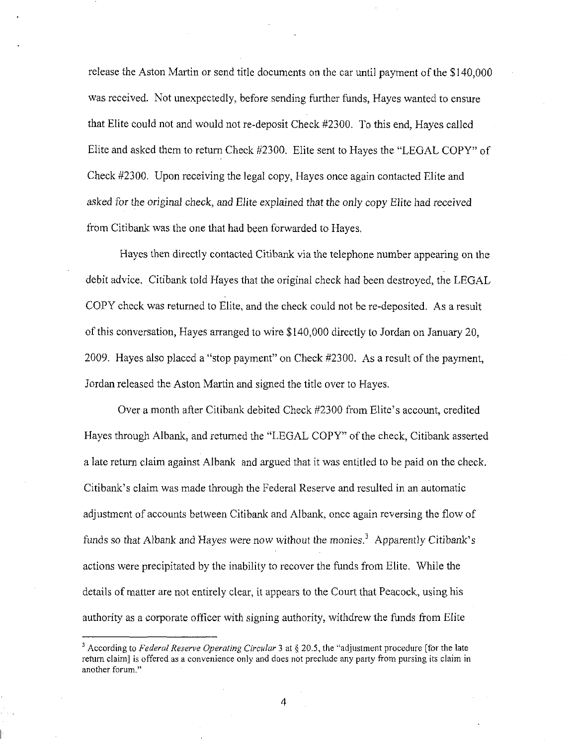release the Aston Martin or send title documents on the car until payment of the \$140,000 was received. Not unexpectedly, before sending further funds, Hayes wanted to ensure that Elite could not and would not re-deposit Check #2300. To this end, Hayes called Elite and asked them to retum Check #2300. Elite sent to Hayes the "LEGAL COPY" of Check #2300, Upon receiving the legal copy, Hayes once again contacted Elite and asked for the original check, and Elite explained that the only copy Elite had received from Citibank was the one that had been forwarded to Hayes.

Hayes then directly contacted Citibank via the telephone number appearing on the debit advice. Citibank told Hayes that the original check had been destroyed, the LEGAL COPY check was returned to Elite, and the check could not be re-deposited. As a result of this conversation, Hayes arranged to wire \$140,000 directly to Jordan on January 20, 2009. Hayes also placed a "stop payment" on Check #2300. As a result of the payment, Jordan released the Aston Martin and signed the title over to Flayes.

Over a month after Citibank debited Check #2300 from Elite's account, credited Hayes through Albank, and returned the "LEGAL COPY" of the check, Citibank asserted a late return claim against Albank and argued that it was entitled to be paid on the check. Citibank's claim was made through the Federal Reserve and resulted in an automatic adjustment of accounts between Citibank and Albank, once again reversing the flow of funds so that Albank and Hayes were now without the monies.<sup>3</sup> Apparently Citibank's actions were precipitated by the inability to recover the funds from Elite. While the details of matter are not entirely clear, it appears to the Court that Peacock, using his authority as a corporate officer with signing authority, withdrew the funds from Elite

<sup>&</sup>lt;sup>3</sup> According to Federal Reserve Operating Circular 3 at § 20.5, the "adjustment procedure [for the late retum claim] is offered as a convenience only and does not preclude any party from pursing its claim in another forum."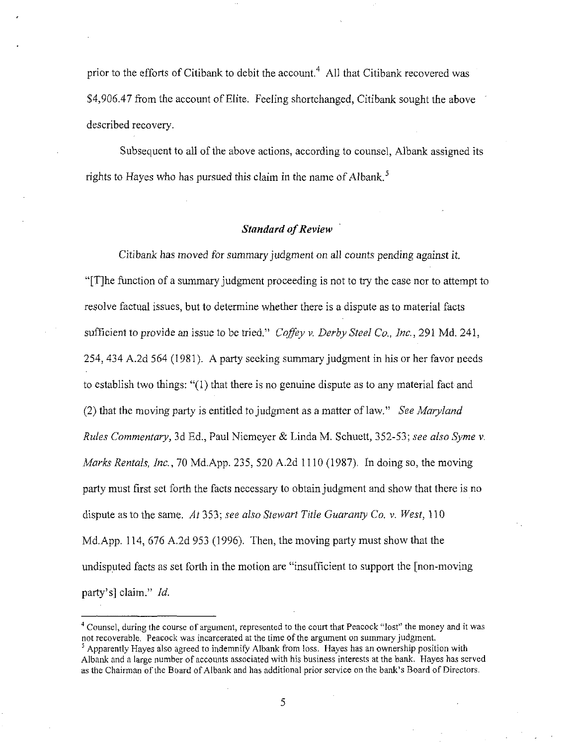prior to the efforts of Citibank to debit the account.<sup>4</sup> All that Citibank recovered was \$4,906.47 from the account of Elite. Feeling shortchanged, Citibank sought the above described recovery.

Subsequent to all of the above actions, according to counsel, Albank assigned its rights to Hayes who has pursued this claim in the name of Albank.<sup>5</sup>

## Standard of Review

Citibank has moved for summary judgment on all counts pending against it. "[T]he function of a summary judgment proceeding is not to try fhe case nor to attempt to resolve factual issues, but to determine whether there is a dispute as to material facts sufficient to provide an issue to be tried." Coffey v. Derby Steel Co., Inc., 291 Md. 241, 254, 434 A.2d 564 (1981). A party seeking summary judgment in his or her favor needs to establish two things: "(1) that there is no genuine dispute as to any material fact and (2) that the moving party is entitled to judgment as a matter of law." See Maryland Rules Commentary, 3d Ed., Paul Niemeyer & Linda M. Schuett, 352-53; see also Syme v. Marks Rentals, Inc., 70 Md.App. 235, 520 A.2d 1110 (1987). In doing so, the moving party must first set forth the facts necessary to obtain judgment and show that there is no dispute as to the same. At 353; see also Stewart Title Guaranty Co. v. West,  $110$ Md.App. 114, 676 A.2d 953 (1996). Then, the moving party must show that the undisputed facts as set forth in the motion are "insufficient to support the [non-moving party's] claim." Id.

<sup>&</sup>lt;sup>4</sup> Counsel, during the course of argument, represented to the court that Peacock "lost" the money and it was not recoverable. Peacock was incarcerated at the time of the argument on summary judgment.

 $<sup>5</sup>$  Apparently Hayes also agreed to indemnify Albank from loss. Hayes has an ownership position with</sup> Albank and a large number of accounts associated with his business interests at the bank. Hayes has served as the Chairman of the Board of Albank and has additional prior service on the bank's Board of Directors.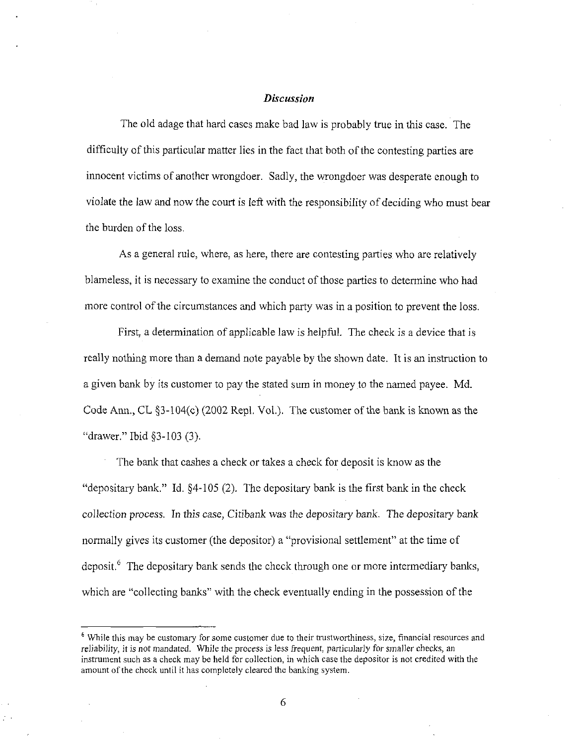## Discussion

The old adage that hard cases make bad law is probably true in this case. The difficulty of this particular matter lies in the fact that both of the contesting parties are innocent victims of another wrongdoer. Sadly, the wrongdoer was desperate enough to violate the law and now the court is left with the responsibility of deciding who must bear the burden of the loss.

As a general rule, where, as here, there are contesting parties who are relatively blameless, it is necessary to examine the conduct of those parties to determine who had more control of the circumstances and which party was in a position to prevent the loss.

First, a determination of applicable law is helpful. The check is a device that is really nothing more than a demand note payable by the shown date. It is an instmction to a given bank by its customer to pay the stated sum in money to the named payee. Md. Code Ann., CL  $\S3-104(c)$  (2002 Repl, Vol.). The customer of the bank is known as the "drawer." Ibid §3-103 (3).

The bank that cashes a cheek or takes a check for deposit is know as the "depositary bank." Id. §4-105 (2). The depositary bank is the first bank in the check collection process. In this case. Citibank was the depositary bank. The depositary bank normally gives its customer (the depositor) a "provisional settlement" at the time of deposit. $<sup>6</sup>$  The depositary bank sends the check through one or more intermediary banks,</sup> which are "collecting banks" with the check eventually ending in the possession of the

<sup>&</sup>lt;sup>6</sup> While this may be customary for some customer due to their trustworthiness, size, financial resources and reliability, it is not mandated. While the process is less frequent, particularly for smaller checks, an instrument such as a check may be held for collection, in which case the depositor is not credited with the amount of the check until it has completely cleared the banking system.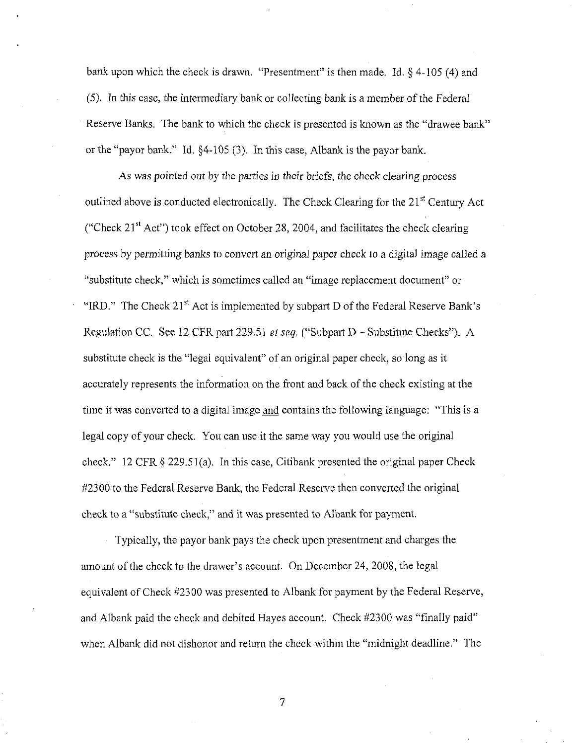bank upon which the check is drawn. "Presentment" is then made. Id. § 4-105 (4) and (5). In this case, the intermediary bank or collecting bank is a member of the Federal Reserve Banks. The bank to which the check is presented is known as the "drawee bank" or the "payor bank." Id. §4-105 (3). In this case, Albank is the payor bank.

As was pointed out by the parties in their briefs, the check clearing process outlined above is conducted electronically. The Check Clearing for the 21<sup>st</sup> Century Act ("Check  $21<sup>st</sup>$  Act") took effect on October 28, 2004, and facilitates the check clearing process by permitting banks to convert an original paper check to a digital image called a "substitute check," which is sometimes called an "image replacement document" or "IRD." The Check  $21<sup>st</sup>$  Act is implemented by subpart D of the Federal Reserve Bank's Regulation CC. See 12 CFR part 229.51 et seq. ("Subpart D - Substitute Checks"). A substitute check is the "legal equivalent" of an original paper check, so long as it accurately represents the information on the front and back of the check existing at the time it was converted to a digital image and contains the following language: "This is a legal copy of your check. You can use it the same way you would use the original check." 12 CFR § 229.51(a). In this case, Citibank presented the original paper Check #2300 to the Federal Reserve Bank, the Federal Reserve then converted the original check to a "substitute check," and it was presented to Albank for payment.

Typically, the payor bank pays the check upon presentment and charges the amount of the check to the drawer's account. On December 24, 2008, the legal equivalent of Check #2300 was presented to Albank for payment by the Federal Reserve, and Albank paid the check and debited Hayes account. Check #2300 was "finally paid" when Albank did not dishonor and return the check within the "midnight deadline." The

 $7<sub>1</sub>$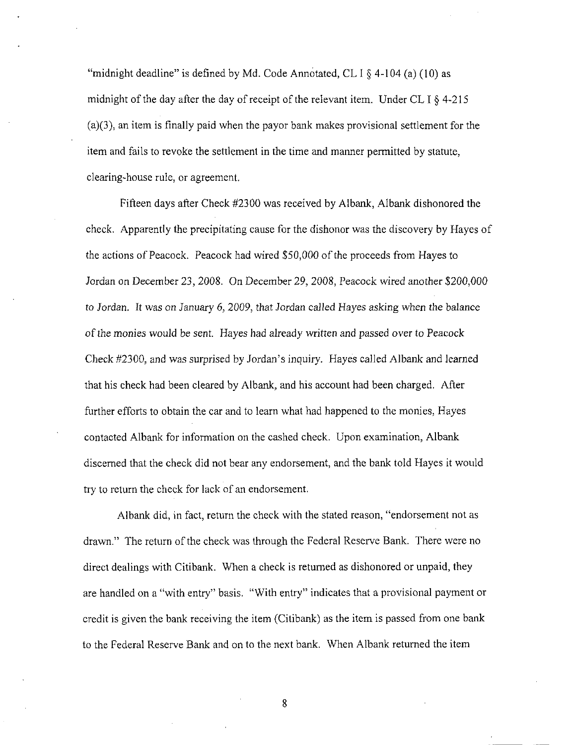"midnight deadline" is defined by Md. Code Annotated, CL I  $\S$  4-104 (a) (10) as midnight of the day after the day of receipt of the relevant item. Under CL I  $\S$  4-215 (a)(3), an item is finally paid when the payor bank makes provisional settlement for the item and fails to revoke the settlement in the time and manner permitted by statute, clearing-house rule, or agreement.

Fifteen days after Check #2300 was received by Albank, Albank dishonored the check. Apparently the precipitating cause for the dishonor was the discovery by Hayes of the actions of Peacock. Peacock had wired \$50,000 of the proceeds from Hayes to Jordan on December 23, 2008. On December 29, 2008, Peacock wired another \$200,000 to Jordan. It was on January 6, 2009, that Jordan called Hayes asking when the balance of the monies would be sent. Hayes had already written and passed over to Peacock Check #2300, and was surprised by Jordan's inquiry. Hayes called Albank and learned that his check had been cleared by Albank, and his account had been charged. After further efforts to obtain the car and to learn what had happened to the monies, Hayes contacted Albank for information on the cashed check. Upon examination, Albank discemed that the check did not bear any endorsement, and the bank told Hayes it would try to return the check for lack of an endorsement.

Albank did, in fact, return the check with the stated reason, "endorsement not as drawn." The return of the check was through the Federal Reserve Bank. There were no direct dealings with Citibank. When a check is retumed as dishonored or unpaid, they are handled on a "with entry" basis. "With entry" indicates that a provisional payment or credit is given the bank receiving the item (Citibank) as the item is passed from one bank to the Federal Reserve Bank and on to the next bank. When Albank returned the item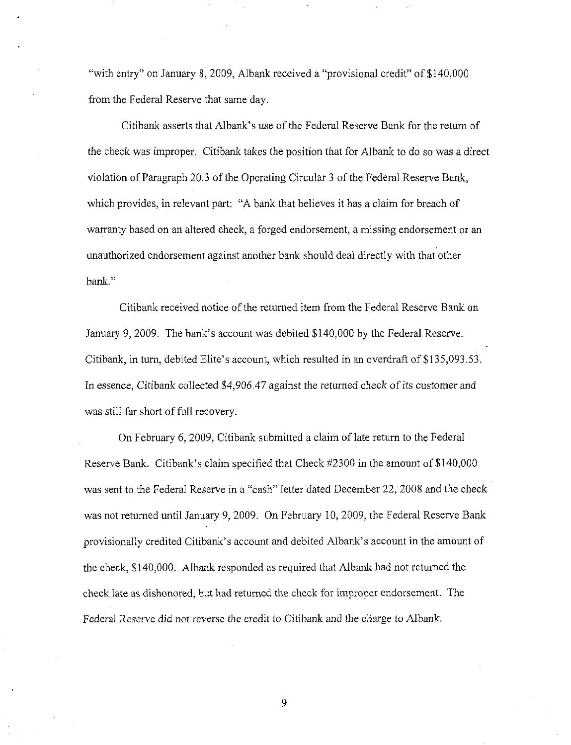"with entry" on January 8, 2009, Albank received a "provisional credit" of \$140,000 from the Federal Reserve that same day.

Citibank asserts that Albank's use of the Federal Reserve Bank for the return of the check was improper. Citibank talces the position that for Albank to do so was a direct violation of Paragraph 20.3 of the Operating Circular 3 of the Federal Reserve Bank, which provides, in relevant part: "A bank that believes it has a claim for breach of warranty based on an altered check, a forged endorsement, a missing endorsement or an unauthorized endorsement against another bank should deal directly with that other bank."

Citibank received notice of the returned item from the Federal Reserve Bank on January 9, 2009. The bank's account was debited \$140,000 by the Federal Reserve. Citibank, in tum, debited Elite's account, which resulted in an overdraft of \$135,093.53. In essence. Citibank collected \$4,906.47 against the returned check of its customer and was still far short of full recovery.

On February 6, 2009, Citibank submitted a claim of late retum to the Federal Reserve Bank. Citibank's claim specified that Check #2300 in the amount of \$140,000 was sent to the Federal Reserve in a "cash" letter dated December 22, 2008 and the check was not retumed until January 9, 2009. On February 10, 2009, the Federal Reserve Bank provisionally credited Citibank's account and debited Albank's account in the amount of the check, \$140,000. Albank responded as required that Albank had not retumed the check late as dishonored, but had retumed the check for improper endorsement. The Federal Reserve did not reverse the credit to Citibank and the charge to Albank.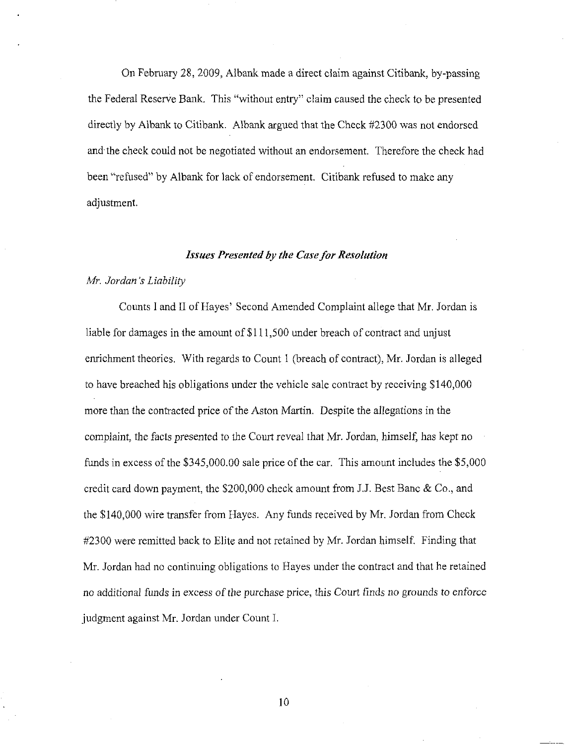On February 28, 2009, Albank made a direct claim against Citibank, by-passing the Federal Reserve Bank. This "without entry" claim caused the check to be presented directly by Albank to Citibank. Albank argued that the Check #2300 was not endorsed and the check could not be negotiated without an endorsement. Therefore the check had been "refused" by Albank for lack of endorsement. Citibank refused to make any adjustment.

#### Issues Presented by the Case for Resolution

#### Mr. Jordan's Liability

Counts I and II of Hayes' Second Amended Complaint allege that Mr. Jordan is liable for damages in the amount of \$111,500 under breach of contract and unjust enrichment theories. With regards to Count 1 (breach of contract), Mr. Jordan is alleged to have breached his obligations under the vehicle sale contract by receiving \$140,000 more than the contracted price of the Aston Martin. Despite the allegations in the complaint, the facts presented to the Court reveal that Mr. Jordan, himself, has kept no funds in excess of the  $$345,000.00$  sale price of the car. This amount includes the  $$5,000$ credit card down payment, the \$200,000 check amount from J.J. Best Banc & Co., and the \$140,000 wire transfer from Hayes. Any funds received by Mr. Jordan from Check #2300 were remitted back to Elite and not retained by Mr. Jordan himself. Finding that Mr. Jordan had no continuing obligations to Hayes under the contract and that he retained no additional funds in excess of the purchase price, this Court finds no grounds to enforce judgment against Mr. Jordan under Count I.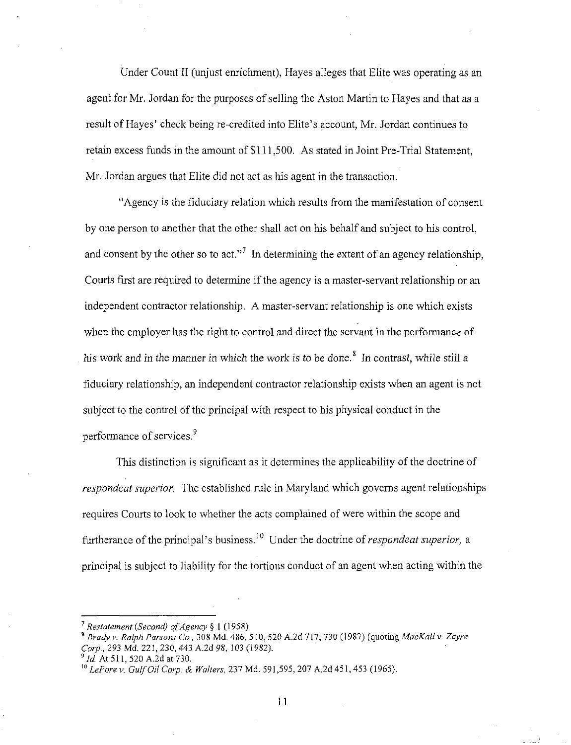Under Count II (unjust enrichment), Hayes alleges that Elite was operating as an agent for Mr. Jordan for the purposes of selling the Aston Martin to Hayes and that as a result of Hayes' check being re-credited into Elite's account, Mr. Jordan continues to retain excess funds in the amount of \$111,500. As stated in Joint Pre-Trial Statement, Mr. Jordan argues that Elite did not act as his agent in the transaction.

"Agency is the fiduciary relation which results from the manifestation of consent by one person to another that the other shall act on his behalf and subject to his control, and consent by the other so to act."<sup>7</sup> In determining the extent of an agency relationship. Courts first are required to determine if the agency is a master-servant relationship or an independent contractor relationship. A master-servant relationship is one which exists when the employer has the right to control and direct the servant in the performance of his work and in the manner in which the work is to be done. $^8$  In contrast, while still a fiduciary relationship, an independent contractor relationship exists when an agent is not subject to the control of the principal with respect to his physical conduct in the performance of services.

This distinction is significant as it determines the applicability of the doctrine of respondeat superior. The established rule in Maryland which governs agent relationships requires Courts to look to whether the acts complained of were within the scope and furtherance of the principal's business.<sup>10</sup> Under the doctrine of *respondeat superior*, a principal is subject to liability for the tortious conduct of an agent when acting within the

 $^7$  Restatement (Second) of Agency § 1 (1958)

<sup>\*</sup> Brady v. Ralph Parsons Co., 308 Md, 486, 510, 520 A.2d 717, 730 (1987) (quoting MacKall v. Zayre Corp., 293 Md. 221, 230, 443 A.2d 98, 103 (1982).

 $^{9}$  Id. At 511, 520 A.2d at 730.

 $^{10}$  LePore v. Gulf Oil Corp. & Walters, 237 Md. 591,595, 207 A.2d 451, 453 (1965).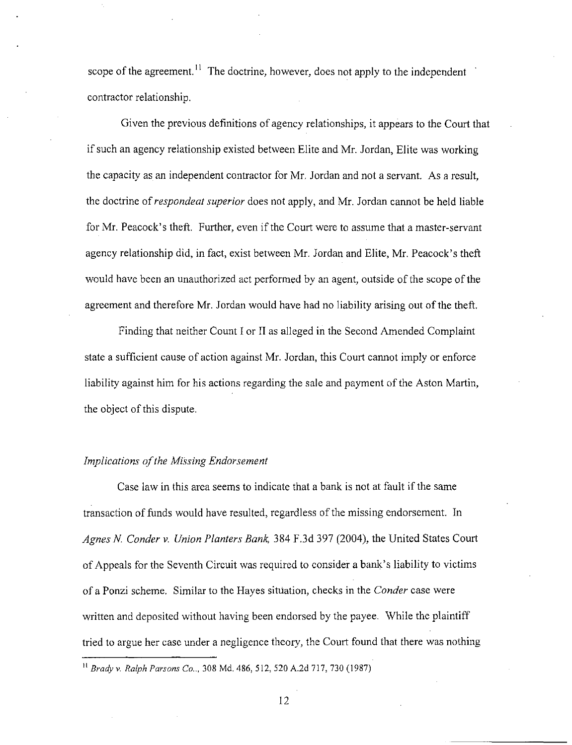scope of the agreement.<sup>11</sup> The doctrine, however, does not apply to the independent contractor relationship.

Given the previous definitions of agency relationships, it appears to the Court that if such an agency relationship existed between Elite and Mr. Jordan, Elite was working the capacity as an independent contractor for Mr. Jordan and not a servant. As a result, the doctrine of respondeat superior does not apply, and Mr. Jordan cannot be held liable for Mr. Peacock's theft. Further, even if the Court were to assume that a master-servant agency relationship did, in fact, exist between Mr. Jordan and Elite, Mr. Peacock's theft would have been an unauthorized act performed by an agent, outside of the scope of the agreement and therefore Mr. Jordan would have had no liability arising out of the theft.

Finding that neither Count I or II as alleged in the Second Amended Complaint state a sufficient cause of action against Mr. Jordan, this Court cannot imply or enforce liability against him for his actions regarding the sale and payment of the Aston Martin, the object of this dispute.

## Implications of the Missing Endorsement

Case law in this area seems to indicate that a bank is not at fault if the same transaction of funds would have resulted, regardless of the missing endorsement. In Agnes N. Conder v. Union Planters Bank, 384 F.3d 397 (2004), the United States Court of Appeals for the Seventh Circuit was required to consider a bank's liability to victims of a Ponzi scheme. Similar to the Hayes situation, checks in the *Conder* case were written and deposited without having been endorsed by the payee. While the plaintiff tried to argue her case under a negligence theory, the Court found that there was nothing

Brady v. Ralph Parsons Co... 308 Md. 486, 5 12, 520 A.2d 717, 730 (1987)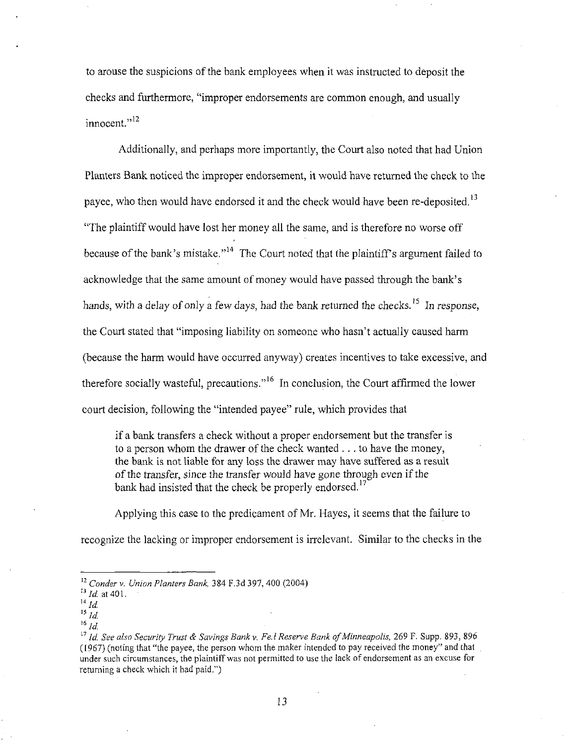to arouse the suspicions of the bank employees when it was instructed to deposit the checks and furthermore, "improper endorsements are common enough, and usually innocent."<sup>12</sup>

Additionally, and perhaps more importantly, the Court also noted that had Union Planters Bank noticed the improper endorsement, it would bave retumed the check to the payee, who then would have endorsed it and the check would have been re-deposited.<sup>13</sup> "The plaintiff would have lost her money all the same, and is therefore no worse off because of the bank's mistake."<sup>14</sup> The Court noted that the plaintiff's argument failed to acknowledge that the same amount of money would have passed through the bank's hands, with a delay of only a few days, had the bank returned the checks.<sup>15</sup> In response, the Court stated that "imposing liability on someone who hasn't actually caused harm (because the harm would have occurred anyway) creates incentives to take excessive, and therefore socially wasteful, precautions."<sup>16</sup> In conclusion, the Court affirmed the lower court decision, following the "intended payee" rule, which provides that

if a bank transfers a check without a proper endorsement but the transfer is to a person whom the drawer of the check wanted  $\dots$  to have the money, the bank is not liable for any loss the drawer may have suffered as a result ofthe transfer, since the transfer would have gone through even if the bank had insisted that the check be properly endorsed.<sup>17</sup>

Applying this case to the predicament of Mr. Hayes, it seems that the failure to recognize the lacking or improper endorsement is irrelevant. Similar to the checks in the

 $12$  Conder v. Union Planters Bank, 384 F,3d 397, 400 (2004)

 $^{13}$  *Id.* at 401.

 $\overline{14}$   $\overline{1}d$ .

 $^\mathrm{15}$   $ld.$ 

 $^{16}$   $ld.$ 

 $^{17}$  Id. See also Security Trust & Savings Bank v. Fe. I Reserve Bank of Minneapolis, 269 F. Supp. 893, 896 (1967) (noting that "the payee, the person whom the maker intended to pay received the money" and that under such circumstances, the plaintiff was not permitted to use the lack of endorsement as an excuse for retuming a check which it had paid.")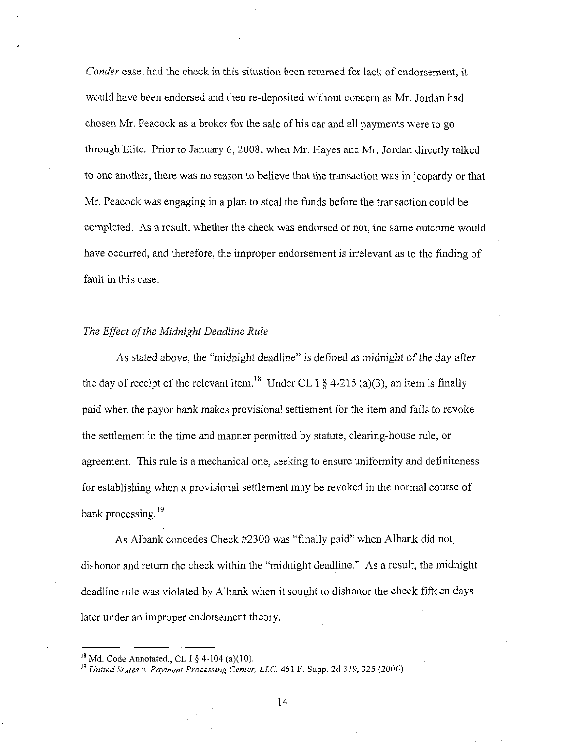Conder case, had the check in this situation been retumed for lack of endorsement, it would have been endorsed and then re-deposited without concem as Mr. Jordan had chosen Mr. Peacock as a broker for the sale of his car and all payments were to go through Elite. Prior to January 6, 2008, when Mr. Hayes and Mr. Jordan directly talked to one another, there was no reason to believe that the transaction was in jeopardy or that Mr. Peacock was engaging in a plan to steal the funds before the transaction could be completed. As a result, whether the check was endorsed or not, the same outcome would have occurred, and therefore, the improper endorsement is irrelevant as to the finding of fault in this case.

## The Effect of the Midnight Deadline Rule

As stated above, the "midnight deadline" is defined as midnight of the day after the day of receipt of the relevant item.<sup>18</sup> Under CL I  $\delta$  4-215 (a)(3), an item is finally paid when the payor bank makes provisional settlement for the item and fails to revoke the settlement in the time and manner permitted by statute, clearing-house rule, or agreement. This mle is a mechanical one, seeking to ensure uniformity and definiteness for establishing when a provisional settlement may be revoked in the normal course of bank processing.<sup>19</sup>

As Albank concedes Check #2300 was "finally paid" when Albank did not, dishonor and return the check within the "midnight deadline." As a resuh, the midnight deadline rule was violated by Albank when it sought to dishonor the check fifteen days later under an improper endorsement theory.

 $^{\prime\prime}$  Md. Code Annotated., CL I § 4-104 (a)(10).

 $^{19}$  United States v. Payment Processing Center, LLC, 461 F. Supp. 2d 319, 325 (2006).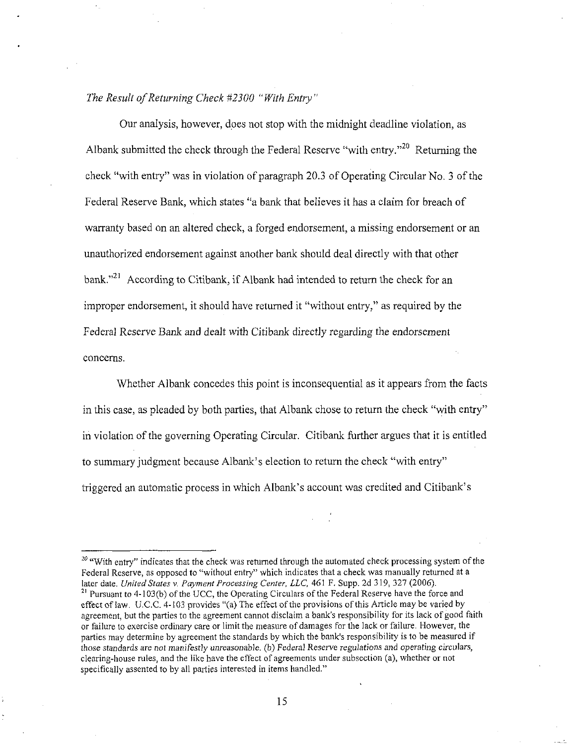## The Result of Returning Check  $#2300$  "With Entry"

Our analysis, however, does not stop with the midnight deadline violation, as Albank submitted the check through the Federal Reserve "with entry."<sup>20</sup> Returning the check "with entry" was in violation of paragraph 20.3 of Operating Circular No. 3 of the Federal Reserve Bank, which states "a bank that believes it has a claim for breach of warranty based on an altered check, a forged endorsement, a missing endorsement or an unauthorized endorsement against another bank should deal directly with that other bank."<sup>21</sup> According to Citibank, if Albank had intended to return the check for an improper endorsement, it should have retumed it "without entry," as required by the Federal Reserve Bank and dealt with Citibank directly regarding the endorsement concerns.

Whether Albank concedes this point is inconsequential as it appears from the facts in this case, as pleaded by both parties, that Albank chose to return the check "with entry" in violation of the governing Operating Circular. Citibank further argues that it is entitled to summary judgment because Albank's election to return the check "with entry" triggered an automatic process in which Albank's account was credited and Citibank's

 $20$  "With entry" indicates that the check was returned through the automated check processing system of the Federal Reserve, as opposed to "without entry" which indicates that a check was manually returned at a later date. United States v. Payment Processing Center, LLC, 461 F. Supp. 2d 319, 327 (2006).  $^{21}$  Pursuant to 4-103(b) of the UCC, the Operating Circulars of the Federal Reserve have the force and effect of law, U,C.C. 4-103 provides "(a) The effect ofthe provisions ofthis Article may be varied by agreement, but the parties to the agreement cannot disclaim a bank's responsibility for its lack of good faith or failure to exercise ordinary care or limit the measure of damages for the lack or failure. However, the parties may determine by agreement the standards by which the bank's responsibility is to be measured if those standards are not manifestly unreasonable, (b) Federal Reserve regulations and operating circulars, clearing-house rules, and the like have the effect of agreements under subsection (a), whether or not specifically assented to by ail parties interested in items handled."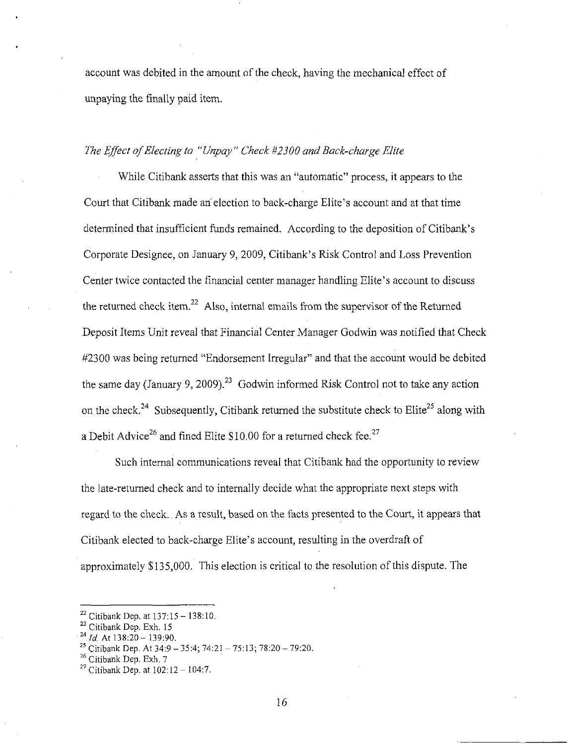account was debited in the amount of the check, having the mechanical effect of unpaying the finally paid item.

# The Effect of Electing to "Unpay" Check ^2300 and Back-charge Elite

While Citibank asserts that this was an "automatic" process, it appears to the Court that Citibank made an"election to back-charge Elite's account and at that time determined that insufficient funds remained. According to the deposition of Citibank's Corporate Designee, on January 9, 2009, Citibank's Risk Control and Loss Prevention Center twice contacted the financial center manager handling Elite's account to discuss the returned check item.<sup>22</sup> Also, internal emails from the supervisor of the Returned Deposit Items Unit reveal that Financial Center Manager Godwin was notified that Check #2300 was being returned "Endorsement Irregular" and that the account would be debited the same day (January 9, 2009).<sup>23</sup> Godwin informed Risk Control not to take any action on the check.<sup>24</sup> Subsequently, Citibank returned the substitute check to Elite<sup>25</sup> along with a Debit Advice<sup>26</sup> and fined Elite \$10.00 for a returned check fee.<sup>27</sup>

Such intemal communications reveal that Citibank had the opportunity to review the late-retumed check and to internally decide what the appropriate next steps with regard to the check. As a result, based on the facts presented to the Court, it appears that Citibank elected to back-charge Elite's account, resuhing in the overdraft of approximately \$135,000. This election is critical to the resolution of this dispute. The

 $^{22}$  Citibank Dep. at  $137:15 - 138:10$ .

 $^{23}$  Citibank Dep, Exh. 15

 $^{24}$  *Id.* At 138:20 - 139:90.

<sup>&</sup>lt;sup>25</sup> Citibank Dep. At  $34:9 - 35:4$ ;  $74:21 - 75:13$ ;  $78:20 - 79:20$ .

 $^{26}$  Citibank Dep, Exh. 7

<sup>&</sup>lt;sup>27</sup> Citibank Dep. at  $102:12-104:7$ .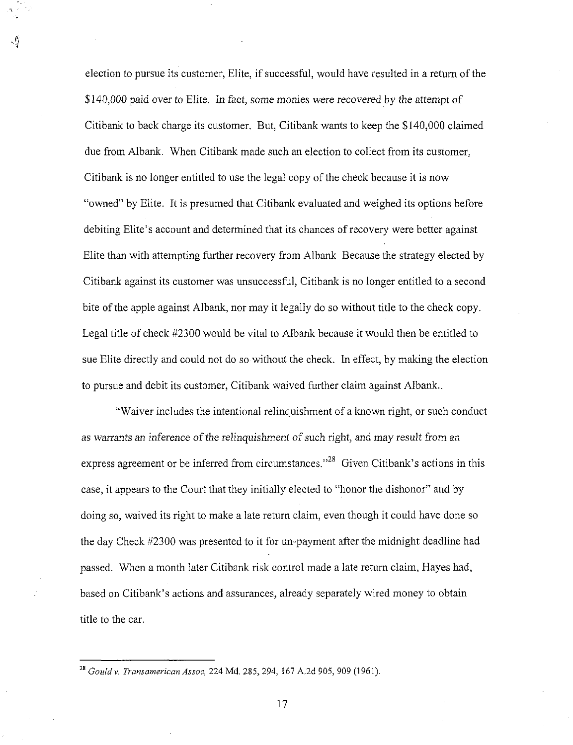election to pursue its customer, Elite, if successful, would have resulted in a return of the \$140,000 paid over to Elite. In fact, some monies were recovered by the attempt of Citibank to back charge its customer. But, Citibank wants to keep the \$140,000 claimed due from Albank, When Citibank made such an election to collect from its customer, Citibank is no longer entitled to use the legal copy of the check because it is now "owned" by Elite. It is presumed that Citibank evaluated and weighed its options before debiting Elite's account and determined that its chances of recovery were better against Elite than with attempting further recovery from Albank Because the strategy elected by Citibank against its customer was unsuccessful. Citibank is no longer entitled to a second bite of the apple against Albank, nor may it legally do so without title to the check copy. Legal title of check #2300 would be vital to Albank because it would then be entitled to sue Elite directly and could not do so without the check. In effect, by making the election to pursue and debit its customer. Citibank waived further claim against Albank..

"Waiver includes the intentional relinquishment of a known right, or such conduct as warrants an inference of the relinquishment of such right, and may result from an express agreement or be inferred from circumstances."<sup>28</sup> Given Citibank's actions in this case, it appears to the Court that they initially elected to "honor the dishonor" and by doing so, waived its right to make a late return claim, even though it could have done so the day Check #2300 was presented to it for un-payment after the midnight deadline had passed. When a month later Citibank risk control made a late return claim, Hayes had, based on Citibank's actions and assurances, already separately wired money to obtain title to the car.

<sup>&</sup>lt;sup>28</sup> Gould v. Transamerican Assoc, 224 Md. 285, 294, 167 A.2d 905, 909 (1961).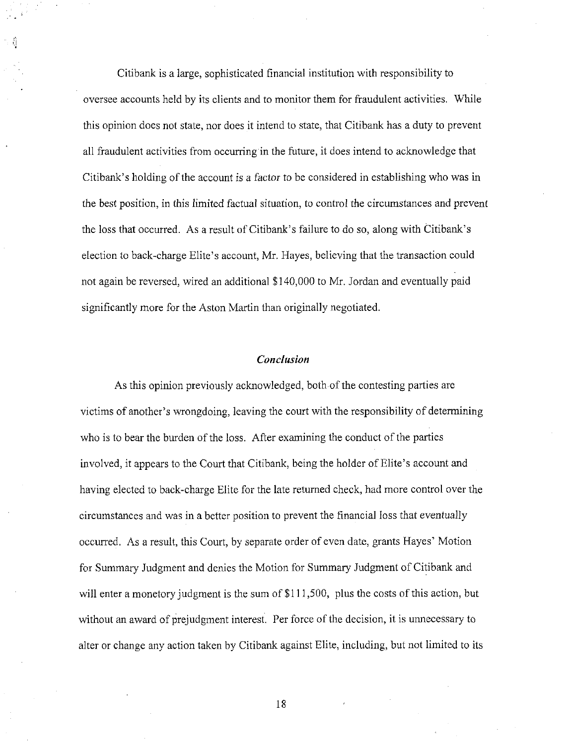Citibank is a large, sophisticated fmancial institution with responsibility to oversee accounts held by its clients and to monitor them for fraudulent activities. While this opinion does not state, nor does it intend to state, that Citibank has a duty to prevent all fraudulent activities from occurring in the future, it does intend to acknowledge that Citibank's holding of the account is a factor to be considered in establishing who was in the best position, in this limited factual situation, to control the circumstances and prevent the loss that occurred. As a result of Citibank's failure to do so, along with Citibank's election to back-charge Elite's account, Mr. Hayes, believing that the transaction could not again be reversed, wired an additional \$140,000 to Mr. Jordan and eventually paid significantly more for the Aston Martin than originally negotiated.

## Conclusion

As this opinion previously acknowledged, both of the contesting parties are victims of another's wrongdoing, leaving the court with the responsibility of determining who is to bear the burden of the loss. After examining the conduct of the parties involved, it appears to the Court that Citibank, being the holder of Elite's account and having elected to back-charge Elite for the late returned check, had more control over the circumstances and was in a better position to prevent the financial loss that eventually occurred. As a result, this Court, by separate order of even date, grants Hayes' Motion for Summary Judgment and denies the Motion for Summary Judgment of Citibank and will enter a monetory judgment is the sum of \$111,500, plus the costs of this action, but without an award of prejudgment interest. Per force of the decision, it is unnecessary to alter or change any action taken by Citibank against Elite, including, but not limited to its